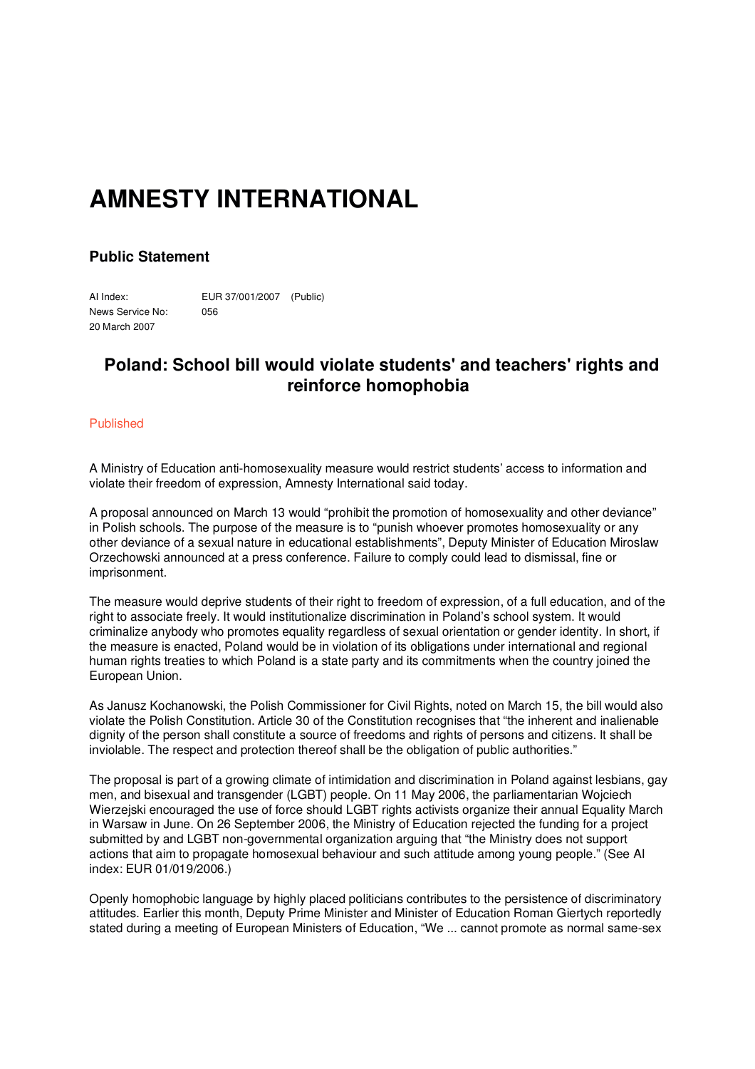## **AMNESTY INTERNATIONAL**

## **Public Statement**

AI Index: EUR 37/001/2007 (Public) News Service No: 056 20 March 2007

## **Poland: School bill would violate students' and teachers' rights and reinforce homophobia**

## Published

A Ministry of Education anti-homosexuality measure would restrict students' access to information and violate their freedom of expression, Amnesty International said today.

A proposal announced on March 13 would "prohibit the promotion of homosexuality and other deviance" in Polish schools. The purpose of the measure is to "punish whoever promotes homosexuality or any other deviance of a sexual nature in educational establishments", Deputy Minister of Education Miroslaw Orzechowski announced at a press conference. Failure to comply could lead to dismissal, fine or imprisonment.

The measure would deprive students of their right to freedom of expression, of a full education, and of the right to associate freely. It would institutionalize discrimination in Poland's school system. It would criminalize anybody who promotes equality regardless of sexual orientation or gender identity. In short, if the measure is enacted, Poland would be in violation of its obligations under international and regional human rights treaties to which Poland is a state party and its commitments when the country joined the European Union.

As Janusz Kochanowski, the Polish Commissioner for Civil Rights, noted on March 15, the bill would also violate the Polish Constitution. Article 30 of the Constitution recognises that "the inherent and inalienable dignity of the person shall constitute a source of freedoms and rights of persons and citizens. It shall be inviolable. The respect and protection thereof shall be the obligation of public authorities."

The proposal is part of a growing climate of intimidation and discrimination in Poland against lesbians, gay men, and bisexual and transgender (LGBT) people. On 11 May 2006, the parliamentarian Wojciech Wierzejski encouraged the use of force should LGBT rights activists organize their annual Equality March in Warsaw in June. On 26 September 2006, the Ministry of Education rejected the funding for a project submitted by and LGBT non-governmental organization arguing that "the Ministry does not support actions that aim to propagate homosexual behaviour and such attitude among young people." (See AI index: EUR 01/019/2006.)

Openly homophobic language by highly placed politicians contributes to the persistence of discriminatory attitudes. Earlier this month, Deputy Prime Minister and Minister of Education Roman Giertych reportedly stated during a meeting of European Ministers of Education, "We ... cannot promote as normal same-sex